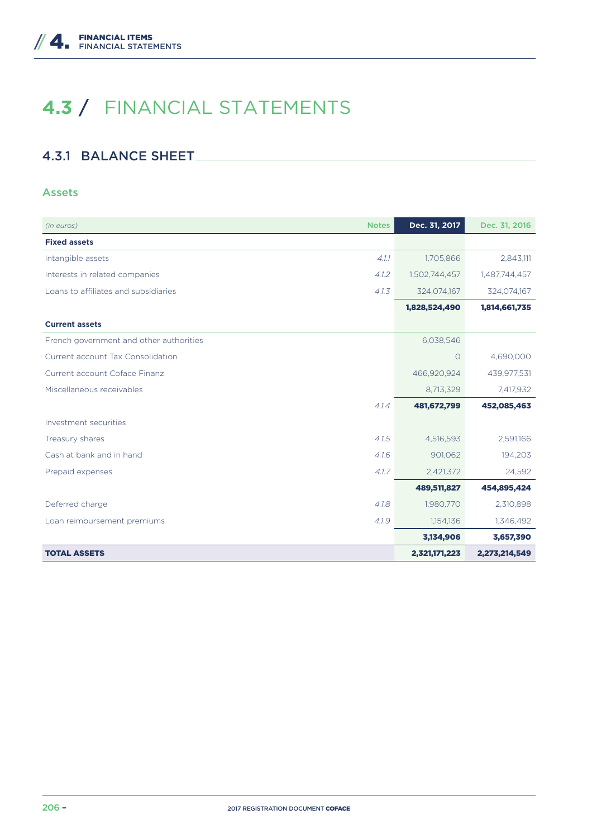# **4.3** / FINANCIAL STATEMENTS

## 4.3.1 BALANCE SHEET

#### Assets

| (in euros)                              | <b>Notes</b> | Dec. 31, 2017 | Dec. 31, 2016 |
|-----------------------------------------|--------------|---------------|---------------|
| <b>Fixed assets</b>                     |              |               |               |
| Intangible assets                       | 4.1.1        | 1,705,866     | 2,843,111     |
| Interests in related companies          | 4.1.2        | 1,502,744,457 | 1,487,744,457 |
| Loans to affiliates and subsidiaries    | 4.1.3        | 324,074,167   | 324,074,167   |
|                                         |              | 1,828,524,490 | 1,814,661,735 |
| <b>Current assets</b>                   |              |               |               |
| French government and other authorities |              | 6,038,546     |               |
| Current account Tax Consolidation       |              | 0             | 4,690,000     |
| Current account Coface Finanz           |              | 466,920,924   | 439,977,531   |
| Miscellaneous receivables               |              | 8,713,329     | 7,417,932     |
|                                         | 4.1.4        | 481,672,799   | 452,085,463   |
| Investment securities                   |              |               |               |
| Treasury shares                         | 4.1.5        | 4,516,593     | 2,591,166     |
| Cash at bank and in hand                | 4.1.6        | 901,062       | 194,203       |
| Prepaid expenses                        | 4.1.7        | 2,421,372     | 24,592        |
|                                         |              | 489,511,827   | 454,895,424   |
| Deferred charge                         | 4.1.8        | 1,980,770     | 2,310,898     |
| Loan reimbursement premiums             | 4.1.9        | 1,154,136     | 1,346,492     |
|                                         |              | 3,134,906     | 3,657,390     |
| <b>TOTAL ASSETS</b>                     |              | 2,321,171,223 | 2,273,214,549 |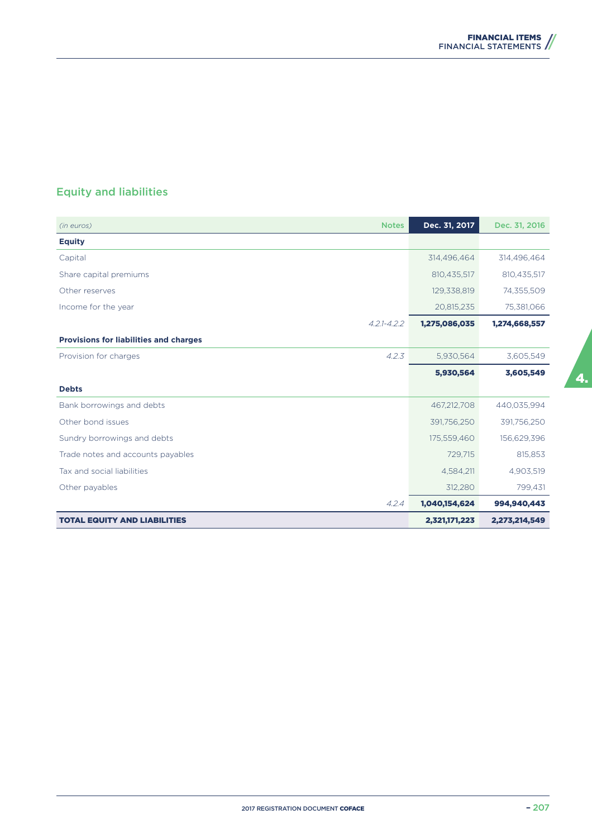## Equity and liabilities

| <b>Notes</b><br>(in euros)                    | Dec. 31, 2017 | Dec. 31, 2016 |
|-----------------------------------------------|---------------|---------------|
| <b>Equity</b>                                 |               |               |
| Capital                                       | 314,496,464   | 314,496,464   |
| Share capital premiums                        | 810,435,517   | 810,435,517   |
| Other reserves                                | 129,338,819   | 74,355,509    |
| Income for the year                           | 20,815,235    | 75,381,066    |
| $4.2.1 - 4.2.2$                               | 1,275,086,035 | 1,274,668,557 |
| <b>Provisions for liabilities and charges</b> |               |               |
| 4.2.3<br>Provision for charges                | 5,930,564     | 3,605,549     |
|                                               | 5,930,564     | 3,605,549     |
| <b>Debts</b>                                  |               |               |
| Bank borrowings and debts                     | 467,212,708   | 440,035,994   |
| Other bond issues                             | 391,756,250   | 391,756,250   |
| Sundry borrowings and debts                   | 175,559,460   | 156,629,396   |
| Trade notes and accounts payables             | 729,715       | 815,853       |
| Tax and social liabilities                    | 4,584,211     | 4,903,519     |
| Other payables                                | 312,280       | 799,431       |
| 4.2.4                                         | 1,040,154,624 | 994,940,443   |
| <b>TOTAL EQUITY AND LIABILITIES</b>           | 2,321,171,223 | 2,273,214,549 |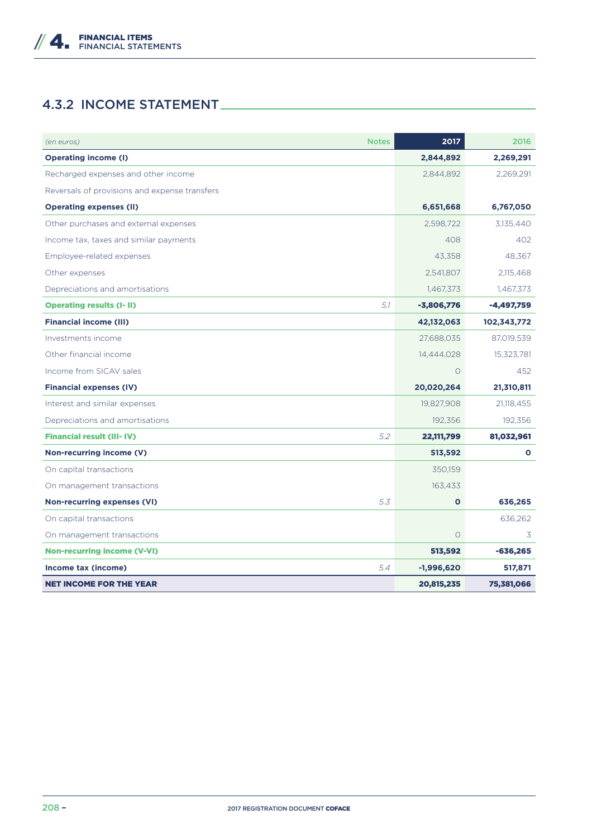## 4.3.2 INCOME STATEMENT

| <b>Notes</b><br>(en euros)                    |     | 2017         | 2016         |
|-----------------------------------------------|-----|--------------|--------------|
| <b>Operating income (I)</b>                   |     | 2,844,892    | 2,269,291    |
| Recharged expenses and other income           |     | 2,844,892    | 2,269,291    |
| Reversals of provisions and expense transfers |     |              |              |
| <b>Operating expenses (II)</b>                |     | 6,651,668    | 6,767,050    |
| Other purchases and external expenses         |     | 2,598,722    | 3,135,440    |
| Income tax, taxes and similar payments        |     | 408          | 402          |
| Employee-related expenses                     |     | 43,358       | 48,367       |
| Other expenses                                |     | 2,541,807    | 2,115,468    |
| Depreciations and amortisations               |     | 1,467,373    | 1,467,373    |
| <b>Operating results (I-II)</b>               | 5.1 | $-3,806,776$ | $-4,497,759$ |
| <b>Financial income (III)</b>                 |     | 42,132,063   | 102,343,772  |
| Investments income                            |     | 27.688.035   | 87,019,539   |
| Other financial income                        |     | 14,444,028   | 15,323,781   |
| Income from SICAV sales                       |     | $\Omega$     | 452          |
| <b>Financial expenses (IV)</b>                |     | 20,020,264   | 21,310,811   |
| Interest and similar expenses                 |     | 19,827,908   | 21,118,455   |
| Depreciations and amortisations               |     | 192,356      | 192,356      |
| <b>Financial result (III-IV)</b>              | 5.2 | 22,111,799   | 81,032,961   |
| Non-recurring income (V)                      |     | 513,592      | O            |
| On capital transactions                       |     | 350,159      |              |
| On management transactions                    |     | 163,433      |              |
| <b>Non-recurring expenses (VI)</b>            | 5.3 | $\mathbf{o}$ | 636,265      |
| On capital transactions                       |     |              | 636,262      |
| On management transactions                    |     | $\circ$      | 3            |
| <b>Non-recurring income (V-VI)</b>            |     | 513,592      | $-636,265$   |
| Income tax (income)                           | 5.4 | $-1,996,620$ | 517,871      |
| <b>NET INCOME FOR THE YEAR</b>                |     | 20,815,235   | 75,381,066   |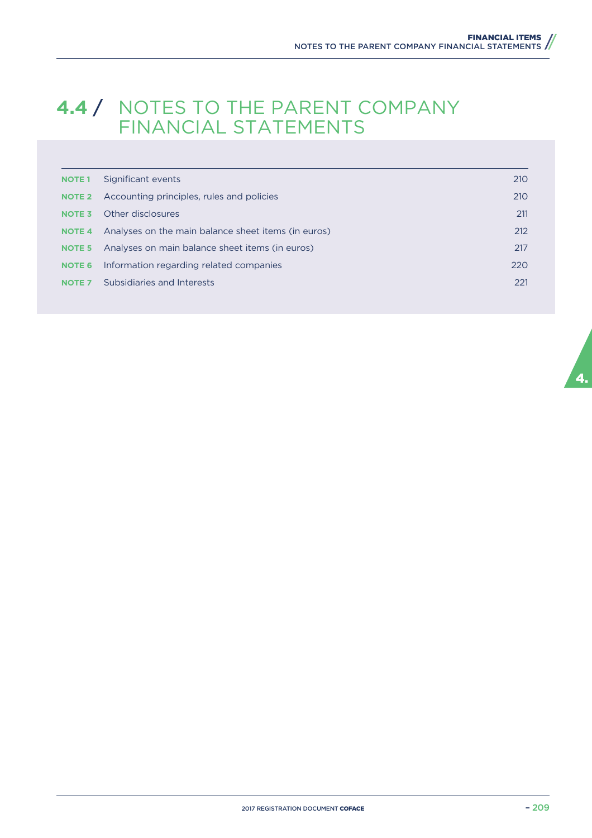## **4.4** / NOTES TO THE PARENT COMPANY FINANCIAL STATEMENTS

| <b>NOTE 1</b>     | Significant events                                  | 210 |
|-------------------|-----------------------------------------------------|-----|
| <b>NOTE 2</b>     | Accounting principles, rules and policies           | 210 |
| NOTE <sub>3</sub> | Other disclosures                                   | 211 |
| <b>NOTE 4</b>     | Analyses on the main balance sheet items (in euros) | 212 |
| NOTE <sub>5</sub> | Analyses on main balance sheet items (in euros)     | 217 |
| <b>NOTE 6</b>     | Information regarding related companies             | 220 |
| <b>NOTE 7</b>     | Subsidiaries and Interests                          | 221 |
|                   |                                                     |     |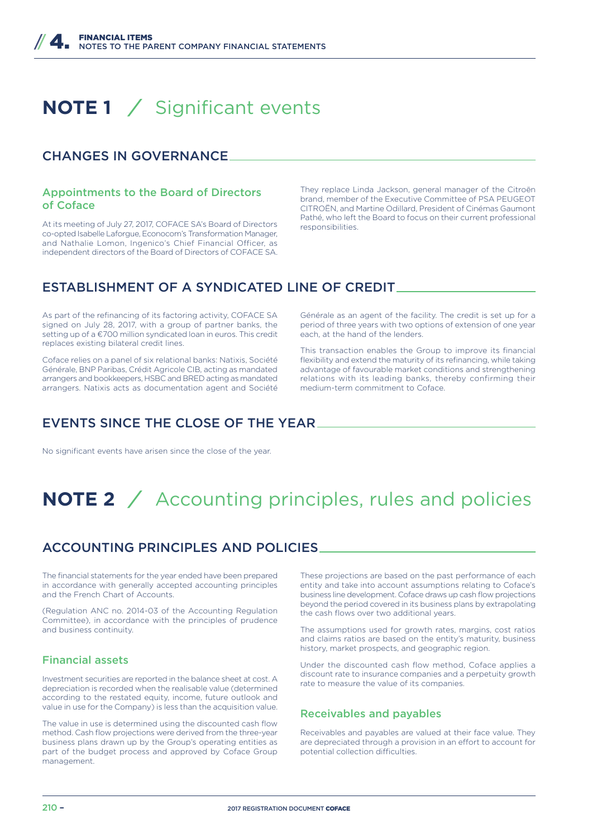# **NOTE 1** */* Significant events

### CHANGES IN GOVERNANCE

#### Appointments to the Board of Directors of Coface

At its meeting of July 27, 2017, COFACE SA's Board of Directors co-opted Isabelle Laforgue, Econocom's Transformation Manager, and Nathalie Lomon, Ingenico's Chief Financial Officer, as independent directors of the Board of Directors of COFACE SA.

They replace Linda Jackson, general manager of the Citroën brand, member of the Executive Committee of PSA PEUGEOT CITROËN, and Martine Odillard, President of Cinémas Gaumont Pathé, who left the Board to focus on their current professional responsibilities.

## ESTABLISHMENT OF A SYNDICATED LINE OF CREDIT

As part of the refinancing of its factoring activity, COFACE SA signed on July 28, 2017, with a group of partner banks, the setting up of a €700 million syndicated loan in euros. This credit replaces existing bilateral credit lines.

Coface relies on a panel of six relational banks: Natixis, Société Générale, BNP Paribas, Crédit Agricole CIB, acting as mandated arrangers and bookkeepers, HSBC and BRED acting as mandated arrangers. Natixis acts as documentation agent and Société

Générale as an agent of the facility. The credit is set up for a period of three years with two options of extension of one year each, at the hand of the lenders.

This transaction enables the Group to improve its financial flexibility and extend the maturity of its refinancing, while taking advantage of favourable market conditions and strengthening relations with its leading banks, thereby confirming their medium-term commitment to Coface.

## EVENTS SINCE THE CLOSE OF THE YEAR

No significant events have arisen since the close of the year.

# **NOTE 2** */* Accounting principles, rules and policies

## ACCOUNTING PRINCIPLES AND POLICIES

The financial statements for the year ended have been prepared in accordance with generally accepted accounting principles and the French Chart of Accounts.

(Regulation ANC no. 2014-03 of the Accounting Regulation Committee), in accordance with the principles of prudence and business continuity.

#### Financial assets

Investment securities are reported in the balance sheet at cost. A depreciation is recorded when the realisable value (determined according to the restated equity, income, future outlook and value in use for the Company) is less than the acquisition value.

The value in use is determined using the discounted cash flow method. Cash flow projections were derived from the three-year business plans drawn up by the Group's operating entities as part of the budget process and approved by Coface Group management.

These projections are based on the past performance of each entity and take into account assumptions relating to Coface's business line development. Coface draws up cash flow projections beyond the period covered in its business plans by extrapolating the cash flows over two additional years.

The assumptions used for growth rates, margins, cost ratios and claims ratios are based on the entity's maturity, business history, market prospects, and geographic region.

Under the discounted cash flow method, Coface applies a discount rate to insurance companies and a perpetuity growth rate to measure the value of its companies.

#### Receivables and payables

Receivables and payables are valued at their face value. They are depreciated through a provision in an effort to account for potential collection difficulties.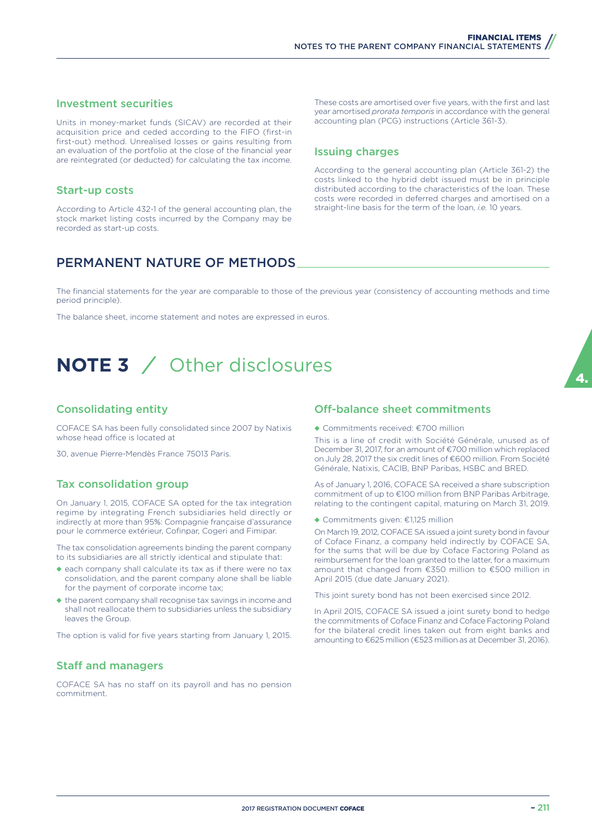#### Investment securities

Units in money-market funds (SICAV) are recorded at their acquisition price and ceded according to the FIFO (first-in first-out) method. Unrealised losses or gains resulting from an evaluation of the portfolio at the close of the financial year are reintegrated (or deducted) for calculating the tax income.

#### Start-up costs

According to Article 432-1 of the general accounting plan, the stock market listing costs incurred by the Company may be recorded as start-up costs.

These costs are amortised over five years, with the first and last year amortised *prorata temporis* in accordance with the general accounting plan (PCG) instructions (Article 361-3).

#### Issuing charges

According to the general accounting plan (Article 361-2) the costs linked to the hybrid debt issued must be in principle distributed according to the characteristics of the loan. These costs were recorded in deferred charges and amortised on a straight-line basis for the term of the loan, *i.e.* 10 years.

## PERMANENT NATURE OF METHODS

The financial statements for the year are comparable to those of the previous year (consistency of accounting methods and time period principle).

The balance sheet, income statement and notes are expressed in euros.

# **NOTE 3** */* Other disclosures

#### Consolidating entity

COFACE SA has been fully consolidated since 2007 by Natixis whose head office is located at

30, avenue Pierre-Mendès France 75013 Paris.

#### Tax consolidation group

On January 1, 2015, COFACE SA opted for the tax integration regime by integrating French subsidiaries held directly or indirectly at more than 95%: Compagnie française d'assurance pour le commerce extérieur, Cofinpar, Cogeri and Fimipar.

The tax consolidation agreements binding the parent company to its subsidiaries are all strictly identical and stipulate that:

- ◆ each company shall calculate its tax as if there were no tax consolidation, and the parent company alone shall be liable for the payment of corporate income tax;
- ◆ the parent company shall recognise tax savings in income and shall not reallocate them to subsidiaries unless the subsidiary leaves the Group.

The option is valid for five years starting from January 1, 2015.

#### **Staff and managers**

COFACE SA has no staff on its payroll and has no pension commitment.

#### Off-balance sheet commitments

◆ Commitments received: €700 million

This is a line of credit with Société Générale, unused as of December 31, 2017, for an amount of €700 million which replaced on July 28, 2017 the six credit lines of €600 million. From Société Générale, Natixis, CACIB, BNP Paribas, HSBC and BRED.

As of January 1, 2016, COFACE SA received a share subscription commitment of up to €100 million from BNP Paribas Arbitrage, relating to the contingent capital, maturing on March 31, 2019.

◆ Commitments given: €1,125 million

On March 19, 2012, COFACE SA issued a joint surety bond in favour of Coface Finanz, a company held indirectly by COFACE SA, for the sums that will be due by Coface Factoring Poland as reimbursement for the loan granted to the latter, for a maximum amount that changed from €350 million to €500 million in April 2015 (due date January 2021).

This joint surety bond has not been exercised since 2012.

In April 2015, COFACE SA issued a joint surety bond to hedge the commitments of Coface Finanz and Coface Factoring Poland for the bilateral credit lines taken out from eight banks and amounting to €625 million (€523 million as at December 31, 2016).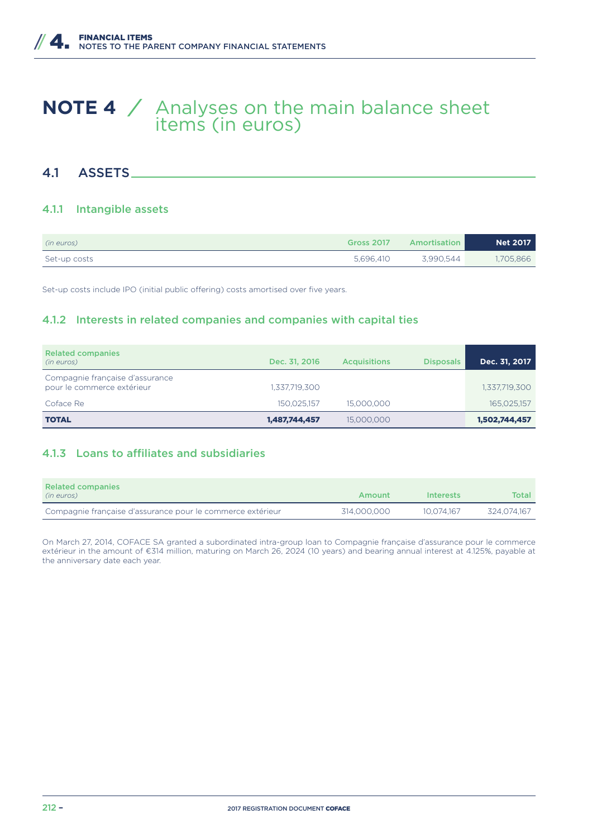## **NOTE 4** */* Analyses on the main balance sheet items (in euros)

### 4.1 ASSETS

#### 4.1.1 Intangible assets

| (in euros)   | <b>Gross 2017</b> | Amortisation | <b>Net 2017</b> |
|--------------|-------------------|--------------|-----------------|
| Set-up costs | 5.696.410         | 3.990.544    | 1,705,866       |

Set-up costs include IPO (initial public offering) costs amortised over five years.

#### 4.1.2 Interests in related companies and companies with capital ties

| <b>Related companies</b><br>(in euros)                        | Dec. 31, 2016 | <b>Acquisitions</b> | <b>Disposals</b> | Dec. 31, 2017 |
|---------------------------------------------------------------|---------------|---------------------|------------------|---------------|
| Compagnie française d'assurance<br>pour le commerce extérieur | 1,337,719,300 |                     |                  | 1,337,719,300 |
| Coface Re                                                     | 150.025.157   | 15,000,000          |                  | 165,025,157   |
| <b>TOTAL</b>                                                  | 1,487,744,457 | 15,000,000          |                  | 1,502,744,457 |

#### 4.1.3 Loans to affiliates and subsidiaries

| <b>Related companies</b><br>(in euros)                     | Amount      | Interests  | Total       |
|------------------------------------------------------------|-------------|------------|-------------|
| Compagnie française d'assurance pour le commerce extérieur | 314.000.000 | 10.074.167 | 324.074.167 |

On March 27, 2014, COFACE SA granted a subordinated intra-group loan to Compagnie française d'assurance pour le commerce extérieur in the amount of €314 million, maturing on March 26, 2024 (10 years) and bearing annual interest at 4.125%, payable at the anniversary date each year.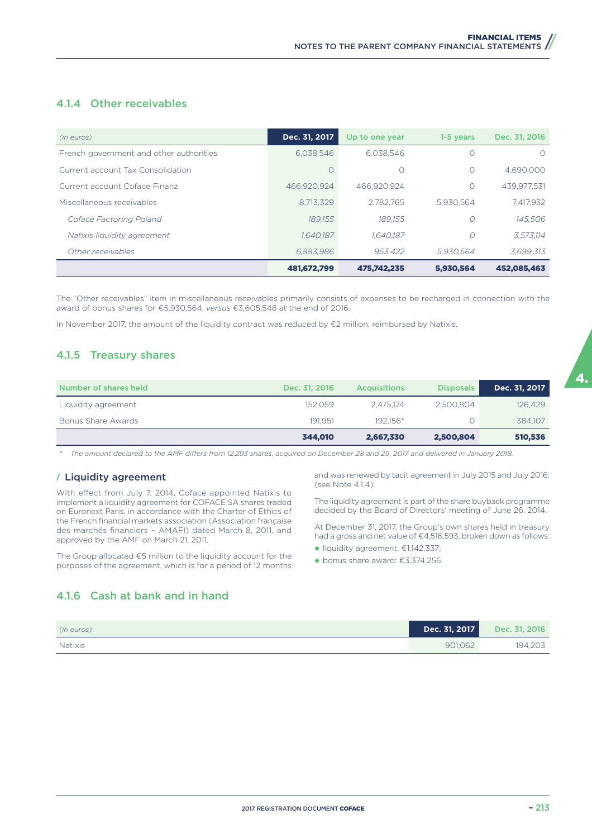#### 4.1.4 Other receivables

| (in euros)                              | Dec. 31, 2017 | Up to one year | 1-5 years | Dec. 31, 2016 |
|-----------------------------------------|---------------|----------------|-----------|---------------|
| French government and other authorities | 6.038.546     | 6.038.546      | Ω         | $\bigcirc$    |
| Current account Tax Consolidation       | $\bigcap$     | O              | $\Omega$  | 4,690,000     |
| Current account Coface Finanz           | 466.920.924   | 466.920.924    | O         | 439.977.531   |
| Miscellaneous receivables               | 8.713.329     | 2.782.765      | 5.930.564 | 7,417,932     |
| Coface Factoring Poland                 | 189.155       | 189.155        | O         | 145,506       |
| Natixis liquidity agreement             | 1.640.187     | 1.640.187      | O         | 3.573.114     |
| Other receivables                       | 6.883.986     | 953.422        | 5.930.564 | 3,699,313     |
|                                         | 481,672,799   | 475.742.235    | 5.930.564 | 452.085.463   |

The "Other receivables" item in miscellaneous receivables primarily consists of expenses to be recharged in connection with the award of bonus shares for €5,930,564, *versus* €3,605,548 at the end of 2016.

In November 2017, the amount of the liquidity contract was reduced by €2 million, reimbursed by Natixis.

#### 4.1.5 Treasury shares

| Number of shares held | Dec. 31, 2016 | <b>Acquisitions</b> | <b>Disposals</b> | Dec. 31, 2017 |
|-----------------------|---------------|---------------------|------------------|---------------|
| Liquidity agreement   | 152.059       | 2.475.174           | 2.500.804        | 126,429       |
| Bonus Share Awards    | 191.951       | 192.156*            |                  | 384.107       |
|                       | 344.010       | 2,667,330           | 2,500,804        | 510,536       |

*\* The amount declared to the AMF diKers from 12,293 shares, acquired on December 28 and 29, 2017 and delivered in January 2018.*

#### **/** Liquidity agreement

With effect from July 7, 2014, Coface appointed Natixis to implement a liquidity agreement for COFACE SA shares traded on Euronext Paris, in accordance with the Charter of Ethics of the French financial markets association (Association française des marchés financiers – AMAFI) dated March 8, 2011, and approved by the AMF on March 21, 2011.

The Group allocated €5 million to the liquidity account for the purposes of the agreement, which is for a period of 12 months and was renewed by tacit agreement in July 2015 and July 2016. (see Note 4.1.4).

The liquidity agreement is part of the share buyback programme decided by the Board of Directors' meeting of June 26, 2014.

At December 31, 2017, the Group's own shares held in treasury had a gross and net value of €4,516,593, broken down as follows:

- ◆ liquidity agreement: €1,142,337;
- ◆ bonus share award: €3,374,256.

#### 4.1.6 Cash at bank and in hand

| (in euros) | Dec. 31, 2017 | Dec. 31, 2016 |
|------------|---------------|---------------|
| Natixis    | 901.062       | 194.203       |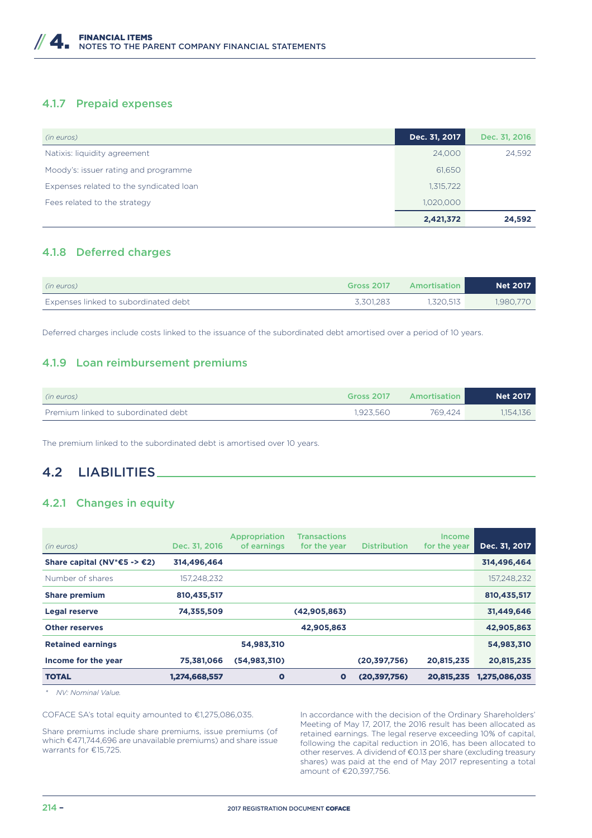#### 4.1.7 Prepaid expenses

| (in euros)                              | Dec. 31, 2017 | Dec. 31, 2016 |
|-----------------------------------------|---------------|---------------|
| Natixis: liquidity agreement            | 24,000        | 24,592        |
| Moody's: issuer rating and programme    | 61,650        |               |
| Expenses related to the syndicated loan | 1,315,722     |               |
| Fees related to the strategy            | 1,020,000     |               |
|                                         | 2,421,372     | 24,592        |

#### 4.1.8 Deferred charges

| (in euros)                           | <b>Gross 2017</b> | <b>Amortisation</b> | <b>Net 2017</b> |
|--------------------------------------|-------------------|---------------------|-----------------|
| Expenses linked to subordinated debt | 3.301.283         | 1.320.513           | 1.980.770       |

Deferred charges include costs linked to the issuance of the subordinated debt amortised over a period of 10 years.

#### 4.1.9 Loan reimbursement premiums

| (in euros)                          | <b>Gross 2017</b> | Amortisation | <b>Net 2017</b> |
|-------------------------------------|-------------------|--------------|-----------------|
| Premium linked to subordinated debt | 1.923.560         | 769.424      | 1,154,136       |

The premium linked to the subordinated debt is amortised over 10 years.

### 4.2 LIABILITIES

#### 4.2.1 Changes in equity

| (in euros)                               | Dec. 31, 2016 | Appropriation<br>of earnings | <b>Transactions</b><br>for the year | <b>Distribution</b> | <b>Income</b><br>for the year | Dec. 31, 2017 |
|------------------------------------------|---------------|------------------------------|-------------------------------------|---------------------|-------------------------------|---------------|
| Share capital (NV <sup>*</sup> €5 -> €2) | 314,496,464   |                              |                                     |                     |                               | 314,496,464   |
| Number of shares                         | 157,248,232   |                              |                                     |                     |                               | 157,248,232   |
| <b>Share premium</b>                     | 810,435,517   |                              |                                     |                     |                               | 810,435,517   |
| <b>Legal reserve</b>                     | 74,355,509    |                              | (42,905,863)                        |                     |                               | 31,449,646    |
| <b>Other reserves</b>                    |               |                              | 42,905,863                          |                     |                               | 42,905,863    |
| <b>Retained earnings</b>                 |               | 54,983,310                   |                                     |                     |                               | 54,983,310    |
| Income for the year                      | 75,381,066    | (54, 983, 310)               |                                     | (20, 397, 756)      | 20,815,235                    | 20,815,235    |
| <b>TOTAL</b>                             | 1,274,668,557 | $\bullet$                    | $\bullet$                           | (20, 397, 756)      | 20,815,235                    | 1,275,086,035 |

*\* NV: Nominal Value.*

COFACE SA's total equity amounted to €1,275,086,035.

Share premiums include share premiums, issue premiums (of which €471,744,696 are unavailable premiums) and share issue warrants for €15,725.

In accordance with the decision of the Ordinary Shareholders' Meeting of May 17, 2017, the 2016 result has been allocated as retained earnings. The legal reserve exceeding 10% of capital, following the capital reduction in 2016, has been allocated to other reserves. A dividend of €0.13 per share (excluding treasury shares) was paid at the end of May 2017 representing a total amount of €20,397,756.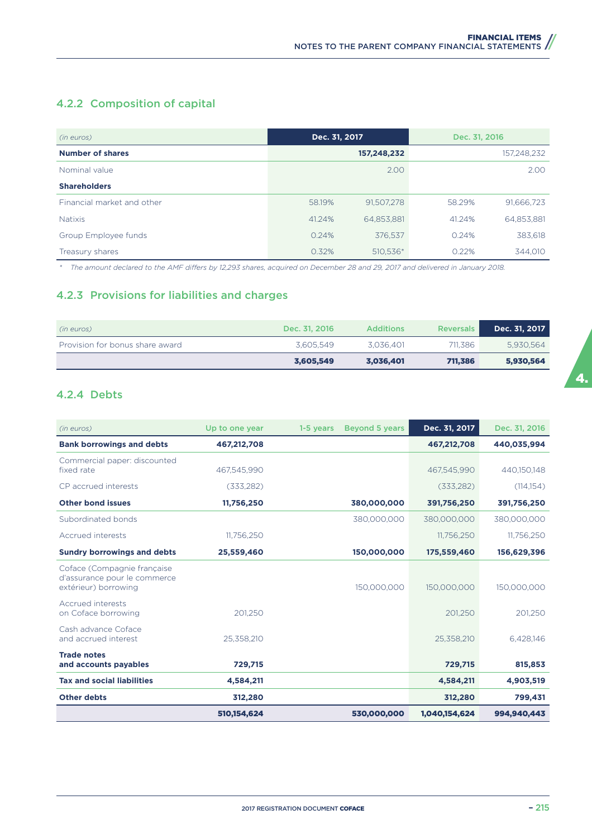## 4.2.2 Composition of capital

| (in euros)                 | Dec. 31, 2017        | Dec. 31, 2016        |
|----------------------------|----------------------|----------------------|
| <b>Number of shares</b>    | 157,248,232          | 157,248,232          |
| Nominal value              | 2.00                 | 2.00                 |
| <b>Shareholders</b>        |                      |                      |
| Financial market and other | 58.19%<br>91,507,278 | 91,666,723<br>58.29% |
| <b>Natixis</b>             | 41.24%<br>64,853,881 | 64,853,881<br>41.24% |
| Group Employee funds       | 0.24%<br>376,537     | 0.24%<br>383,618     |
| Treasury shares            | 0.32%<br>510,536*    | 0.22%<br>344.010     |

*\* The amount declared to the AMF diKers by 12,293 shares, acquired on December 28 and 29, 2017 and delivered in January 2018.*

### 4.2.3 Provisions for liabilities and charges

| (in euros)                      | Dec. 31, 2016 | <b>Additions</b> | Reversals | Dec. 31, 2017 |
|---------------------------------|---------------|------------------|-----------|---------------|
| Provision for bonus share award | 3.605.549     | 3.036.401        | 711.386   | 5.930.564     |
|                                 | 3,605,549     | 3.036.401        | 711.386   | 5,930,564     |

#### 4.2.4 Debts

| (in euros)                                                                          | Up to one year | <b>Beyond 5 years</b><br>1-5 years | Dec. 31, 2017 | Dec. 31, 2016 |
|-------------------------------------------------------------------------------------|----------------|------------------------------------|---------------|---------------|
| <b>Bank borrowings and debts</b>                                                    | 467,212,708    |                                    | 467,212,708   | 440,035,994   |
| Commercial paper: discounted<br>fixed rate                                          | 467.545.990    |                                    | 467.545.990   | 440,150,148   |
| CP accrued interests                                                                | (333, 282)     |                                    | (333, 282)    | (114, 154)    |
| <b>Other bond issues</b>                                                            | 11,756,250     | 380,000,000                        | 391,756,250   | 391,756,250   |
| Subordinated bonds                                                                  |                | 380,000,000                        | 380,000,000   | 380,000,000   |
| Accrued interests                                                                   | 11,756,250     |                                    | 11,756,250    | 11,756,250    |
| <b>Sundry borrowings and debts</b>                                                  | 25,559,460     | 150,000,000                        | 175,559,460   | 156,629,396   |
| Coface (Compagnie française<br>d'assurance pour le commerce<br>extérieur) borrowing |                | 150.000.000                        | 150,000,000   | 150,000,000   |
| Accrued interests<br>on Coface borrowing                                            | 201.250        |                                    | 201,250       | 201,250       |
| Cash advance Coface<br>and accrued interest                                         | 25,358,210     |                                    | 25,358,210    | 6,428,146     |
| <b>Trade notes</b><br>and accounts payables                                         | 729,715        |                                    | 729,715       | 815,853       |
| <b>Tax and social liabilities</b>                                                   | 4,584,211      |                                    | 4,584,211     | 4,903,519     |
| <b>Other debts</b>                                                                  | 312,280        |                                    | 312,280       | 799,431       |
|                                                                                     | 510,154,624    | 530,000,000                        | 1,040,154,624 | 994,940,443   |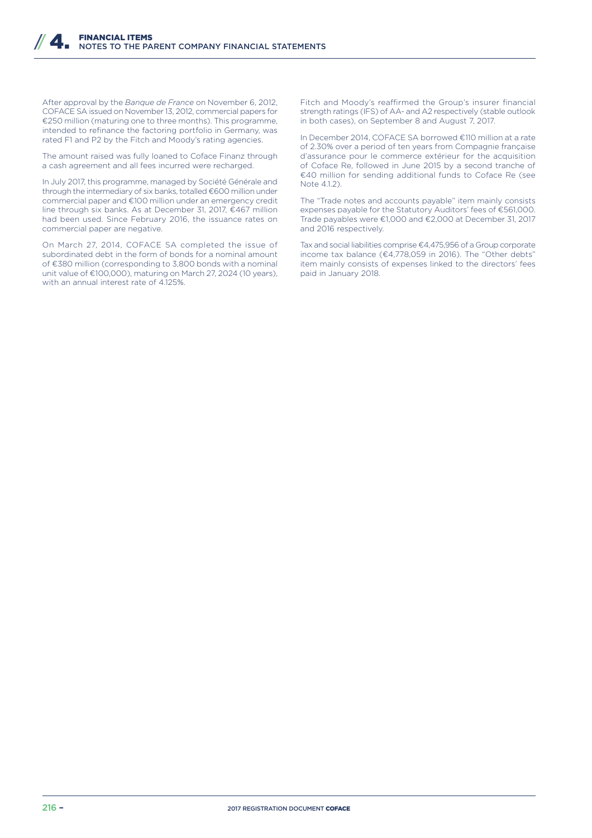After approval by the *Banque de France* on November 6, 2012, COFACE SA issued on November 13, 2012, commercial papers for €250 million (maturing one to three months). This programme, intended to refinance the factoring portfolio in Germany, was rated F1 and P2 by the Fitch and Moody's rating agencies.

The amount raised was fully loaned to Coface Finanz through a cash agreement and all fees incurred were recharged.

In July 2017, this programme, managed by Société Générale and through the intermediary of six banks, totalled €600 million under commercial paper and €100 million under an emergency credit line through six banks. As at December 31, 2017, €467 million had been used. Since February 2016, the issuance rates on commercial paper are negative.

On March 27, 2014, COFACE SA completed the issue of subordinated debt in the form of bonds for a nominal amount of €380 million (corresponding to 3,800 bonds with a nominal unit value of €100,000), maturing on March 27, 2024 (10 years), with an annual interest rate of 4.125%.

Fitch and Moody's reaffirmed the Group's insurer financial strength ratings (IFS) of AA- and A2 respectively (stable outlook in both cases), on September 8 and August 7, 2017.

In December 2014, COFACE SA borrowed €110 million at a rate of 2.30% over a period of ten years from Compagnie française d'assurance pour le commerce extérieur for the acquisition of Coface Re, followed in June 2015 by a second tranche of €40 million for sending additional funds to Coface Re (see Note 4.1.2).

The "Trade notes and accounts payable" item mainly consists expenses payable for the Statutory Auditors' fees of €561,000. Trade payables were €1,000 and €2,000 at December 31, 2017 and 2016 respectively.

Tax and social liabilities comprise €4,475,956 of a Group corporate income tax balance (€4,778,059 in 2016). The "Other debts" item mainly consists of expenses linked to the directors' fees paid in January 2018.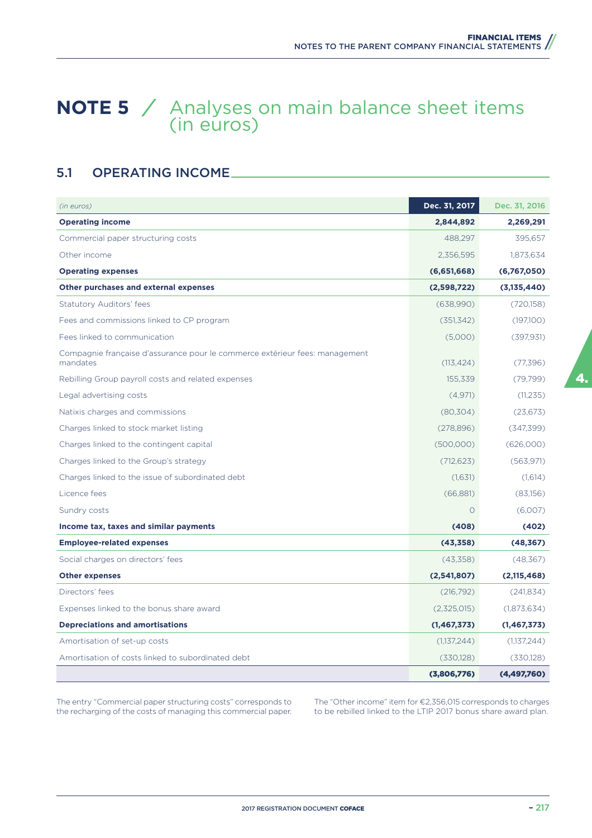## **NOTE 5** */* Analyses on main balance sheet items (in euros)

## 5.1 OPERATING INCOME

| (in euros)                                                                              | Dec. 31, 2017 | Dec. 31, 2016 |
|-----------------------------------------------------------------------------------------|---------------|---------------|
| <b>Operating income</b>                                                                 | 2,844,892     | 2,269,291     |
| Commercial paper structuring costs                                                      | 488,297       | 395,657       |
| Other income                                                                            | 2,356,595     | 1,873,634     |
| <b>Operating expenses</b>                                                               | (6,651,668)   | (6,767,050)   |
| Other purchases and external expenses                                                   | (2,598,722)   | (3,135,440)   |
| Statutory Auditors' fees                                                                | (638,990)     | (720,158)     |
| Fees and commissions linked to CP program                                               | (351, 342)    | (197,100)     |
| Fees linked to communication                                                            | (5,000)       | (397, 931)    |
| Compagnie française d'assurance pour le commerce extérieur fees: management<br>mandates | (113, 424)    | (77, 396)     |
| Rebilling Group payroll costs and related expenses                                      | 155,339       | (79, 799)     |
| Legal advertising costs                                                                 | (4.971)       | (11, 235)     |
| Natixis charges and commissions                                                         | (80, 304)     | (23, 673)     |
| Charges linked to stock market listing                                                  | (278,896)     | (347, 399)    |
| Charges linked to the contingent capital                                                | (500,000)     | (626,000)     |
| Charges linked to the Group's strategy                                                  | (712, 623)    | (563, 971)    |
| Charges linked to the issue of subordinated debt                                        | (1,631)       | (1,614)       |
| Licence fees                                                                            | (66, 881)     | (83,156)      |
| Sundry costs                                                                            | $\Omega$      | (6,007)       |
| Income tax, taxes and similar payments                                                  | (408)         | (402)         |
| <b>Employee-related expenses</b>                                                        | (43, 358)     | (48, 367)     |
| Social charges on directors' fees                                                       | (43,358)      | (48,367)      |
| <b>Other expenses</b>                                                                   | (2,541,807)   | (2,115,468)   |
| Directors' fees                                                                         | (216, 792)    | (241, 834)    |
| Expenses linked to the bonus share award                                                | (2,325,015)   | (1,873,634)   |
| <b>Depreciations and amortisations</b>                                                  | (1, 467, 373) | (1, 467, 373) |
| Amortisation of set-up costs                                                            | (1,137,244)   | (1,137,244)   |
| Amortisation of costs linked to subordinated debt                                       | (330, 128)    | (330,128)     |
|                                                                                         | (3,806,776)   | (4, 497, 760) |

The entry "Commercial paper structuring costs" corresponds to the recharging of the costs of managing this commercial paper. The "Other income" item for €2,356,015 corresponds to charges to be rebilled linked to the LTIP 2017 bonus share award plan.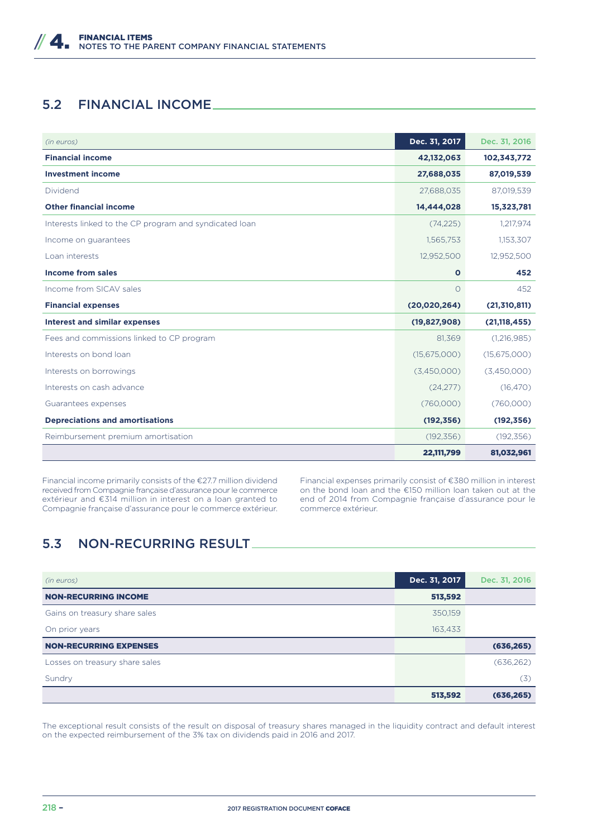## 5.2 FINANCIAL INCOME

| (in euros)                                             | Dec. 31, 2017  | Dec. 31, 2016  |
|--------------------------------------------------------|----------------|----------------|
| <b>Financial income</b>                                | 42,132,063     | 102,343,772    |
| <b>Investment income</b>                               | 27,688,035     | 87,019,539     |
| Dividend                                               | 27,688,035     | 87,019,539     |
| <b>Other financial income</b>                          | 14,444,028     | 15,323,781     |
| Interests linked to the CP program and syndicated loan | (74, 225)      | 1,217,974      |
| Income on guarantees                                   | 1,565,753      | 1,153,307      |
| Loan interests                                         | 12,952,500     | 12,952,500     |
| <b>Income from sales</b>                               | $\mathbf{o}$   | 452            |
| Income from SICAV sales                                | $\bigcirc$     | 452            |
| <b>Financial expenses</b>                              | (20, 020, 264) | (21, 310, 811) |
| <b>Interest and similar expenses</b>                   | (19,827,908)   | (21, 118, 455) |
| Fees and commissions linked to CP program              | 81,369         | (1,216,985)    |
| Interests on bond loan                                 | (15,675,000)   | (15,675,000)   |
| Interests on borrowings                                | (3,450,000)    | (3,450,000)    |
| Interests on cash advance                              | (24, 277)      | (16, 470)      |
| Guarantees expenses                                    | (760,000)      | (760,000)      |
| <b>Depreciations and amortisations</b>                 | (192, 356)     | (192, 356)     |
| Reimbursement premium amortisation                     | (192, 356)     | (192, 356)     |
|                                                        | 22,111,799     | 81,032,961     |

Financial income primarily consists of the €27.7 million dividend received from Compagnie française d'assurance pour le commerce extérieur and €314 million in interest on a loan granted to Compagnie française d'assurance pour le commerce extérieur.

Financial expenses primarily consist of €380 million in interest on the bond loan and the €150 million loan taken out at the end of 2014 from Compagnie française d'assurance pour le commerce extérieur.

## 5.3 NON-RECURRING RESULT

| (in euros)                     | Dec. 31, 2017 | Dec. 31, 2016 |
|--------------------------------|---------------|---------------|
| <b>NON-RECURRING INCOME</b>    | 513,592       |               |
| Gains on treasury share sales  | 350,159       |               |
| On prior years                 | 163,433       |               |
| <b>NON-RECURRING EXPENSES</b>  |               | (636, 265)    |
| Losses on treasury share sales |               | (636, 262)    |
| Sundry                         |               | (3)           |
|                                | 513,592       | (636, 265)    |

The exceptional result consists of the result on disposal of treasury shares managed in the liquidity contract and default interest on the expected reimbursement of the 3% tax on dividends paid in 2016 and 2017.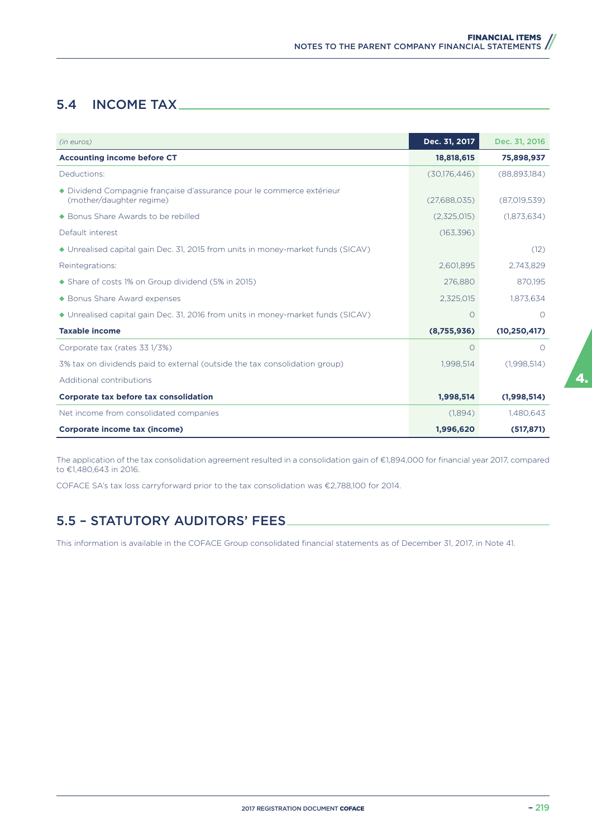## 5.4 INCOME TAX

| (in euros)                                                                                        | Dec. 31, 2017 | Dec. 31, 2016  |
|---------------------------------------------------------------------------------------------------|---------------|----------------|
| <b>Accounting income before CT</b>                                                                | 18,818,615    | 75,898,937     |
| Deductions:                                                                                       | (30,176,446)  | (88,893,184)   |
| ◆ Dividend Compagnie française d'assurance pour le commerce extérieur<br>(mother/daughter regime) | (27,688,035)  | (87,019,539)   |
| ◆ Bonus Share Awards to be rebilled                                                               | (2,325,015)   | (1,873,634)    |
| Default interest                                                                                  | (163, 396)    |                |
| ◆ Unrealised capital gain Dec. 31, 2015 from units in money-market funds (SICAV)                  |               | (12)           |
| Reintegrations:                                                                                   | 2,601,895     | 2,743,829      |
| • Share of costs 1% on Group dividend (5% in 2015)                                                | 276,880       | 870,195        |
| ◆ Bonus Share Award expenses                                                                      | 2,325,015     | 1,873,634      |
| ◆ Unrealised capital gain Dec. 31, 2016 from units in money-market funds (SICAV)                  | $\Omega$      | $\Omega$       |
| <b>Taxable income</b>                                                                             | (8,755,936)   | (10, 250, 417) |
| Corporate tax (rates 33 1/3%)                                                                     | $\Omega$      | $\Omega$       |
| 3% tax on dividends paid to external (outside the tax consolidation group)                        | 1,998,514     | (1,998,514)    |
| Additional contributions                                                                          |               |                |
| Corporate tax before tax consolidation                                                            | 1,998,514     | (1,998,514)    |
| Net income from consolidated companies                                                            | (1,894)       | 1,480,643      |
| Corporate income tax (income)                                                                     | 1,996,620     | (517, 871)     |

The application of the tax consolidation agreement resulted in a consolidation gain of €1,894,000 for financial year 2017, compared to €1,480,643 in 2016.

COFACE SA's tax loss carryforward prior to the tax consolidation was €2,788,100 for 2014.

## 5.5 – STATUTORY AUDITORS' FEES

This information is available in the COFACE Group consolidated financial statements as of December 31, 2017, in Note 41.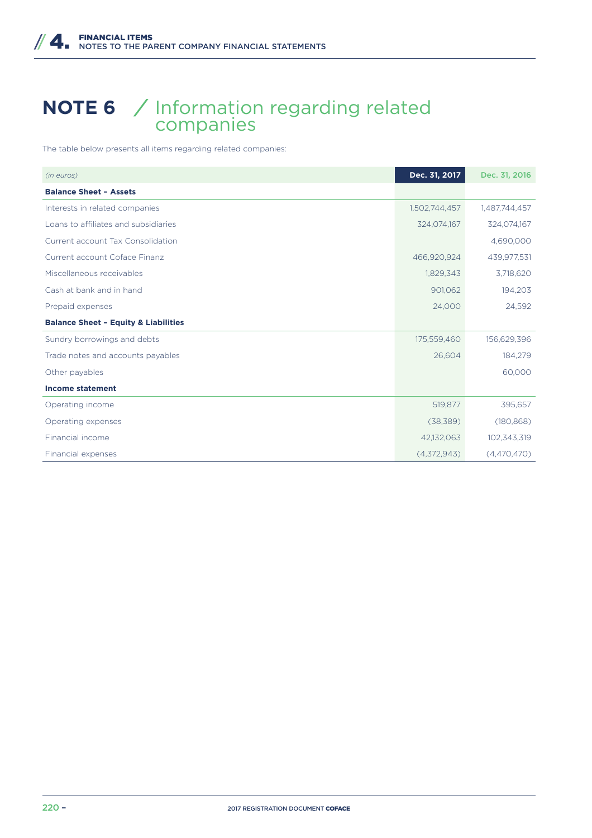## **NOTE 6** */* Information regarding related companies

The table below presents all items regarding related companies:

| (in euros)                                      | Dec. 31, 2017 | Dec. 31, 2016 |
|-------------------------------------------------|---------------|---------------|
| <b>Balance Sheet - Assets</b>                   |               |               |
| Interests in related companies                  | 1,502,744,457 | 1,487,744,457 |
| Loans to affiliates and subsidiaries            | 324,074,167   | 324,074,167   |
| Current account Tax Consolidation               |               | 4,690,000     |
| Current account Coface Finanz                   | 466,920,924   | 439,977,531   |
| Miscellaneous receivables                       | 1,829,343     | 3,718,620     |
| Cash at bank and in hand                        | 901,062       | 194,203       |
| Prepaid expenses                                | 24,000        | 24,592        |
| <b>Balance Sheet - Equity &amp; Liabilities</b> |               |               |
| Sundry borrowings and debts                     | 175,559,460   | 156,629,396   |
| Trade notes and accounts payables               | 26,604        | 184,279       |
| Other payables                                  |               | 60,000        |
| <b>Income statement</b>                         |               |               |
| Operating income                                | 519,877       | 395,657       |
| Operating expenses                              | (38, 389)     | (180, 868)    |
| Financial income                                | 42,132,063    | 102,343,319   |
| Financial expenses                              | (4,372,943)   | (4,470,470)   |